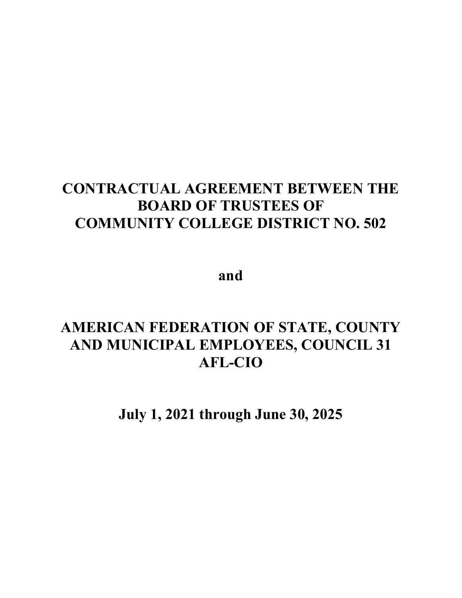# **CONTRACTUAL AGREEMENT BETWEEN THE BOARD OF TRUSTEES OF COMMUNITY COLLEGE DISTRICT NO. 502**

**and**

# **AMERICAN FEDERATION OF STATE, COUNTY AND MUNICIPAL EMPLOYEES, COUNCIL 31 AFL-CIO**

**July 1, 2021 through June 30, 2025**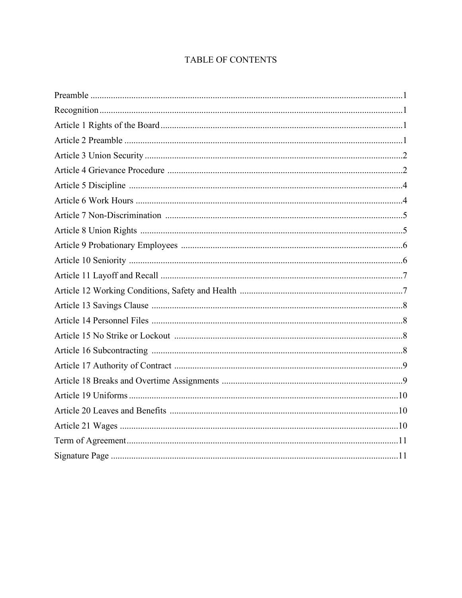# TABLE OF CONTENTS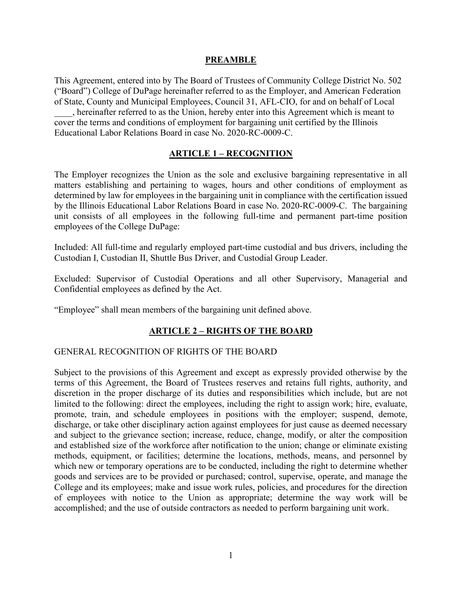#### **PREAMBLE**

This Agreement, entered into by The Board of Trustees of Community College District No. 502 ("Board") College of DuPage hereinafter referred to as the Employer, and American Federation of State, County and Municipal Employees, Council 31, AFL-CIO, for and on behalf of Local

\_\_\_\_, hereinafter referred to as the Union, hereby enter into this Agreement which is meant to cover the terms and conditions of employment for bargaining unit certified by the Illinois Educational Labor Relations Board in case No. 2020-RC-0009-C.

#### **ARTICLE 1 – RECOGNITION**

The Employer recognizes the Union as the sole and exclusive bargaining representative in all matters establishing and pertaining to wages, hours and other conditions of employment as determined by law for employees in the bargaining unit in compliance with the certification issued by the Illinois Educational Labor Relations Board in case No. 2020-RC-0009-C. The bargaining unit consists of all employees in the following full-time and permanent part-time position employees of the College DuPage:

Included: All full-time and regularly employed part-time custodial and bus drivers, including the Custodian I, Custodian II, Shuttle Bus Driver, and Custodial Group Leader.

Excluded: Supervisor of Custodial Operations and all other Supervisory, Managerial and Confidential employees as defined by the Act.

"Employee" shall mean members of the bargaining unit defined above.

## **ARTICLE 2 – RIGHTS OF THE BOARD**

#### GENERAL RECOGNITION OF RIGHTS OF THE BOARD

Subject to the provisions of this Agreement and except as expressly provided otherwise by the terms of this Agreement, the Board of Trustees reserves and retains full rights, authority, and discretion in the proper discharge of its duties and responsibilities which include, but are not limited to the following: direct the employees, including the right to assign work; hire, evaluate, promote, train, and schedule employees in positions with the employer; suspend, demote, discharge, or take other disciplinary action against employees for just cause as deemed necessary and subject to the grievance section; increase, reduce, change, modify, or alter the composition and established size of the workforce after notification to the union; change or eliminate existing methods, equipment, or facilities; determine the locations, methods, means, and personnel by which new or temporary operations are to be conducted, including the right to determine whether goods and services are to be provided or purchased; control, supervise, operate, and manage the College and its employees; make and issue work rules, policies, and procedures for the direction of employees with notice to the Union as appropriate; determine the way work will be accomplished; and the use of outside contractors as needed to perform bargaining unit work.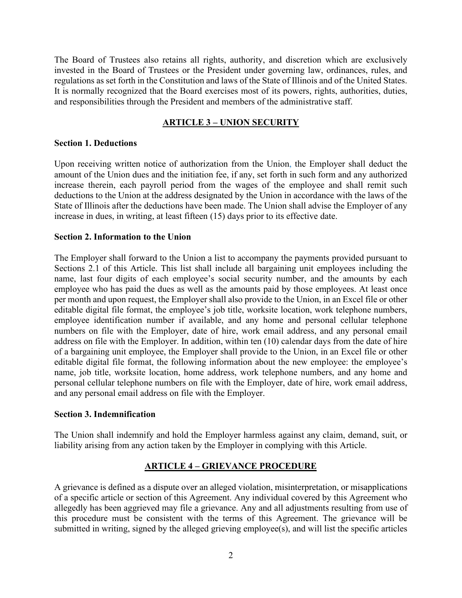The Board of Trustees also retains all rights, authority, and discretion which are exclusively invested in the Board of Trustees or the President under governing law, ordinances, rules, and regulations as set forth in the Constitution and laws of the State of Illinois and of the United States. It is normally recognized that the Board exercises most of its powers, rights, authorities, duties, and responsibilities through the President and members of the administrative staff.

## **ARTICLE 3 – UNION SECURITY**

#### **Section 1. Deductions**

Upon receiving written notice of authorization from the Union, the Employer shall deduct the amount of the Union dues and the initiation fee, if any, set forth in such form and any authorized increase therein, each payroll period from the wages of the employee and shall remit such deductions to the Union at the address designated by the Union in accordance with the laws of the State of Illinois after the deductions have been made. The Union shall advise the Employer of any increase in dues, in writing, at least fifteen (15) days prior to its effective date.

## **Section 2. Information to the Union**

The Employer shall forward to the Union a list to accompany the payments provided pursuant to Sections 2.1 of this Article. This list shall include all bargaining unit employees including the name, last four digits of each employee's social security number, and the amounts by each employee who has paid the dues as well as the amounts paid by those employees. At least once per month and upon request, the Employer shall also provide to the Union, in an Excel file or other editable digital file format, the employee's job title, worksite location, work telephone numbers, employee identification number if available, and any home and personal cellular telephone numbers on file with the Employer, date of hire, work email address, and any personal email address on file with the Employer. In addition, within ten (10) calendar days from the date of hire of a bargaining unit employee, the Employer shall provide to the Union, in an Excel file or other editable digital file format, the following information about the new employee: the employee's name, job title, worksite location, home address, work telephone numbers, and any home and personal cellular telephone numbers on file with the Employer, date of hire, work email address, and any personal email address on file with the Employer.

#### **Section 3. Indemnification**

The Union shall indemnify and hold the Employer harmless against any claim, demand, suit, or liability arising from any action taken by the Employer in complying with this Article.

## **ARTICLE 4 – GRIEVANCE PROCEDURE**

A grievance is defined as a dispute over an alleged violation, misinterpretation, or misapplications of a specific article or section of this Agreement. Any individual covered by this Agreement who allegedly has been aggrieved may file a grievance. Any and all adjustments resulting from use of this procedure must be consistent with the terms of this Agreement. The grievance will be submitted in writing, signed by the alleged grieving employee(s), and will list the specific articles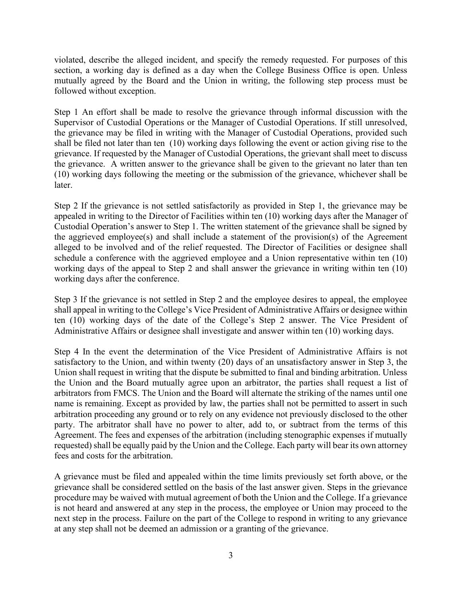violated, describe the alleged incident, and specify the remedy requested. For purposes of this section, a working day is defined as a day when the College Business Office is open. Unless mutually agreed by the Board and the Union in writing, the following step process must be followed without exception.

Step 1 An effort shall be made to resolve the grievance through informal discussion with the Supervisor of Custodial Operations or the Manager of Custodial Operations. If still unresolved, the grievance may be filed in writing with the Manager of Custodial Operations, provided such shall be filed not later than ten (10) working days following the event or action giving rise to the grievance. If requested by the Manager of Custodial Operations, the grievant shall meet to discuss the grievance. A written answer to the grievance shall be given to the grievant no later than ten (10) working days following the meeting or the submission of the grievance, whichever shall be later.

Step 2 If the grievance is not settled satisfactorily as provided in Step 1, the grievance may be appealed in writing to the Director of Facilities within ten (10) working days after the Manager of Custodial Operation's answer to Step 1. The written statement of the grievance shall be signed by the aggrieved employee(s) and shall include a statement of the provision(s) of the Agreement alleged to be involved and of the relief requested. The Director of Facilities or designee shall schedule a conference with the aggrieved employee and a Union representative within ten (10) working days of the appeal to Step 2 and shall answer the grievance in writing within ten (10) working days after the conference.

Step 3 If the grievance is not settled in Step 2 and the employee desires to appeal, the employee shall appeal in writing to the College's Vice President of Administrative Affairs or designee within ten (10) working days of the date of the College's Step 2 answer. The Vice President of Administrative Affairs or designee shall investigate and answer within ten (10) working days.

Step 4 In the event the determination of the Vice President of Administrative Affairs is not satisfactory to the Union, and within twenty (20) days of an unsatisfactory answer in Step 3, the Union shall request in writing that the dispute be submitted to final and binding arbitration. Unless the Union and the Board mutually agree upon an arbitrator, the parties shall request a list of arbitrators from FMCS. The Union and the Board will alternate the striking of the names until one name is remaining. Except as provided by law, the parties shall not be permitted to assert in such arbitration proceeding any ground or to rely on any evidence not previously disclosed to the other party. The arbitrator shall have no power to alter, add to, or subtract from the terms of this Agreement. The fees and expenses of the arbitration (including stenographic expenses if mutually requested) shall be equally paid by the Union and the College. Each party will bear its own attorney fees and costs for the arbitration.

A grievance must be filed and appealed within the time limits previously set forth above, or the grievance shall be considered settled on the basis of the last answer given. Steps in the grievance procedure may be waived with mutual agreement of both the Union and the College. If a grievance is not heard and answered at any step in the process, the employee or Union may proceed to the next step in the process. Failure on the part of the College to respond in writing to any grievance at any step shall not be deemed an admission or a granting of the grievance.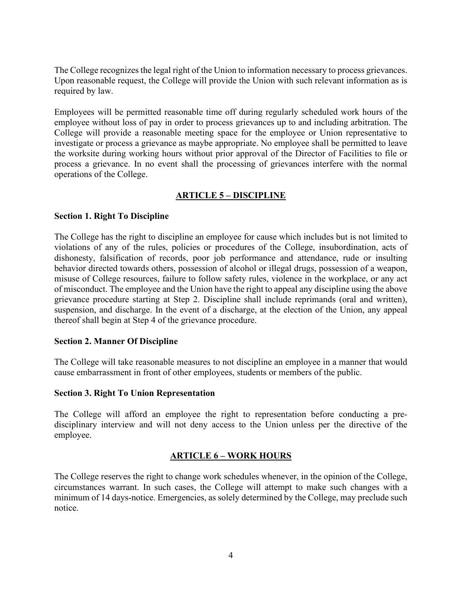The College recognizes the legal right of the Union to information necessary to process grievances. Upon reasonable request, the College will provide the Union with such relevant information as is required by law.

Employees will be permitted reasonable time off during regularly scheduled work hours of the employee without loss of pay in order to process grievances up to and including arbitration. The College will provide a reasonable meeting space for the employee or Union representative to investigate or process a grievance as maybe appropriate. No employee shall be permitted to leave the worksite during working hours without prior approval of the Director of Facilities to file or process a grievance. In no event shall the processing of grievances interfere with the normal operations of the College.

# **ARTICLE 5 – DISCIPLINE**

## **Section 1. Right To Discipline**

The College has the right to discipline an employee for cause which includes but is not limited to violations of any of the rules, policies or procedures of the College, insubordination, acts of dishonesty, falsification of records, poor job performance and attendance, rude or insulting behavior directed towards others, possession of alcohol or illegal drugs, possession of a weapon, misuse of College resources, failure to follow safety rules, violence in the workplace, or any act of misconduct. The employee and the Union have the right to appeal any discipline using the above grievance procedure starting at Step 2. Discipline shall include reprimands (oral and written), suspension, and discharge. In the event of a discharge, at the election of the Union, any appeal thereof shall begin at Step 4 of the grievance procedure.

#### **Section 2. Manner Of Discipline**

The College will take reasonable measures to not discipline an employee in a manner that would cause embarrassment in front of other employees, students or members of the public.

#### **Section 3. Right To Union Representation**

The College will afford an employee the right to representation before conducting a predisciplinary interview and will not deny access to the Union unless per the directive of the employee.

## **ARTICLE 6 – WORK HOURS**

The College reserves the right to change work schedules whenever, in the opinion of the College, circumstances warrant. In such cases, the College will attempt to make such changes with a minimum of 14 days-notice. Emergencies, as solely determined by the College, may preclude such notice.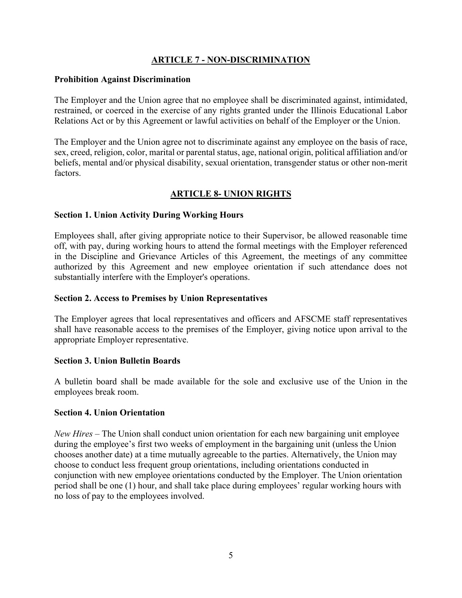## **ARTICLE 7 - NON-DISCRIMINATION**

## **Prohibition Against Discrimination**

The Employer and the Union agree that no employee shall be discriminated against, intimidated, restrained, or coerced in the exercise of any rights granted under the Illinois Educational Labor Relations Act or by this Agreement or lawful activities on behalf of the Employer or the Union.

The Employer and the Union agree not to discriminate against any employee on the basis of race, sex, creed, religion, color, marital or parental status, age, national origin, political affiliation and/or beliefs, mental and/or physical disability, sexual orientation, transgender status or other non-merit factors.

# **ARTICLE 8- UNION RIGHTS**

## **Section 1. Union Activity During Working Hours**

Employees shall, after giving appropriate notice to their Supervisor, be allowed reasonable time off, with pay, during working hours to attend the formal meetings with the Employer referenced in the Discipline and Grievance Articles of this Agreement, the meetings of any committee authorized by this Agreement and new employee orientation if such attendance does not substantially interfere with the Employer's operations.

## **Section 2. Access to Premises by Union Representatives**

The Employer agrees that local representatives and officers and AFSCME staff representatives shall have reasonable access to the premises of the Employer, giving notice upon arrival to the appropriate Employer representative.

#### **Section 3. Union Bulletin Boards**

A bulletin board shall be made available for the sole and exclusive use of the Union in the employees break room.

#### **Section 4. Union Orientation**

*New Hires* – The Union shall conduct union orientation for each new bargaining unit employee during the employee's first two weeks of employment in the bargaining unit (unless the Union chooses another date) at a time mutually agreeable to the parties. Alternatively, the Union may choose to conduct less frequent group orientations, including orientations conducted in conjunction with new employee orientations conducted by the Employer. The Union orientation period shall be one (1) hour, and shall take place during employees' regular working hours with no loss of pay to the employees involved.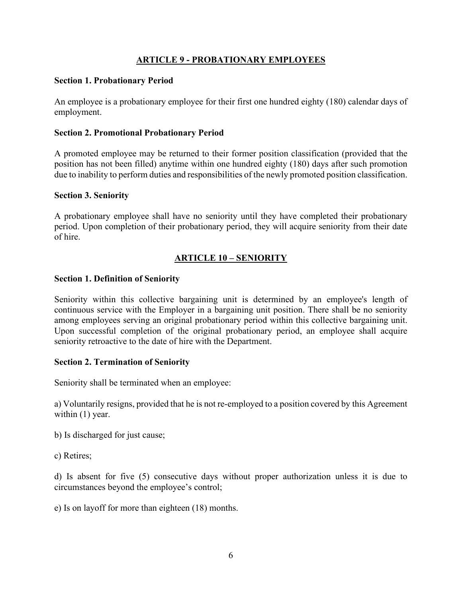## **ARTICLE 9 - PROBATIONARY EMPLOYEES**

#### **Section 1. Probationary Period**

An employee is a probationary employee for their first one hundred eighty (180) calendar days of employment.

#### **Section 2. Promotional Probationary Period**

A promoted employee may be returned to their former position classification (provided that the position has not been filled) anytime within one hundred eighty (180) days after such promotion due to inability to perform duties and responsibilities of the newly promoted position classification.

#### **Section 3. Seniority**

A probationary employee shall have no seniority until they have completed their probationary period. Upon completion of their probationary period, they will acquire seniority from their date of hire.

## **ARTICLE 10 – SENIORITY**

#### **Section 1. Definition of Seniority**

Seniority within this collective bargaining unit is determined by an employee's length of continuous service with the Employer in a bargaining unit position. There shall be no seniority among employees serving an original probationary period within this collective bargaining unit. Upon successful completion of the original probationary period, an employee shall acquire seniority retroactive to the date of hire with the Department.

#### **Section 2. Termination of Seniority**

Seniority shall be terminated when an employee:

a) Voluntarily resigns, provided that he is not re-employed to a position covered by this Agreement within  $(1)$  year.

b) Is discharged for just cause;

c) Retires;

d) Is absent for five (5) consecutive days without proper authorization unless it is due to circumstances beyond the employee's control;

e) Is on layoff for more than eighteen (18) months.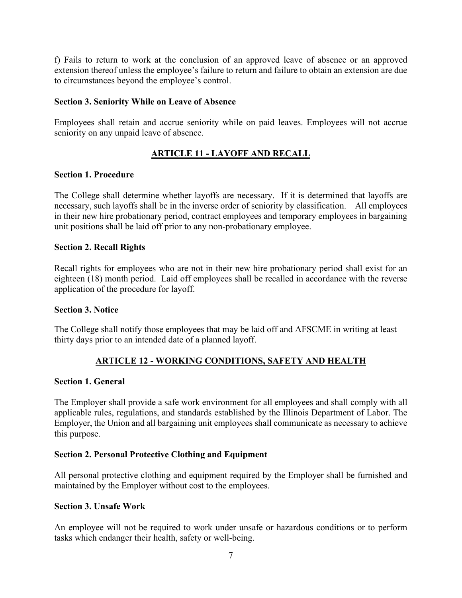f) Fails to return to work at the conclusion of an approved leave of absence or an approved extension thereof unless the employee's failure to return and failure to obtain an extension are due to circumstances beyond the employee's control.

#### **Section 3. Seniority While on Leave of Absence**

Employees shall retain and accrue seniority while on paid leaves. Employees will not accrue seniority on any unpaid leave of absence.

# **ARTICLE 11 - LAYOFF AND RECALL**

## **Section 1. Procedure**

The College shall determine whether layoffs are necessary. If it is determined that layoffs are necessary, such layoffs shall be in the inverse order of seniority by classification.All employees in their new hire probationary period, contract employees and temporary employees in bargaining unit positions shall be laid off prior to any non-probationary employee.

## **Section 2. Recall Rights**

Recall rights for employees who are not in their new hire probationary period shall exist for an eighteen (18) month period. Laid off employees shall be recalled in accordance with the reverse application of the procedure for layoff.

#### **Section 3. Notice**

The College shall notify those employees that may be laid off and AFSCME in writing at least thirty days prior to an intended date of a planned layoff.

## **ARTICLE 12 - WORKING CONDITIONS, SAFETY AND HEALTH**

#### **Section 1. General**

The Employer shall provide a safe work environment for all employees and shall comply with all applicable rules, regulations, and standards established by the Illinois Department of Labor. The Employer, the Union and all bargaining unit employees shall communicate as necessary to achieve this purpose.

#### **Section 2. Personal Protective Clothing and Equipment**

All personal protective clothing and equipment required by the Employer shall be furnished and maintained by the Employer without cost to the employees.

#### **Section 3. Unsafe Work**

An employee will not be required to work under unsafe or hazardous conditions or to perform tasks which endanger their health, safety or well-being.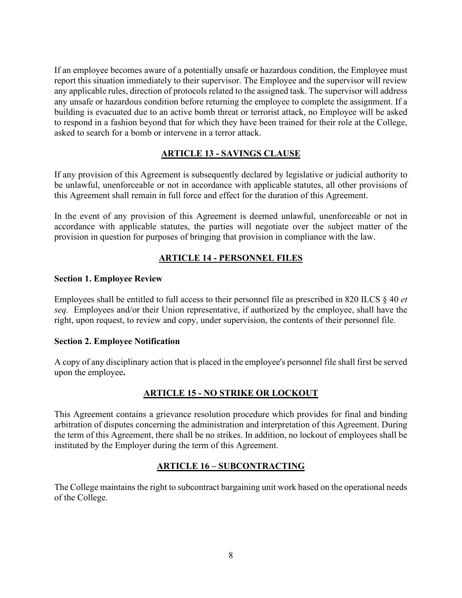If an employee becomes aware of a potentially unsafe or hazardous condition, the Employee must report this situation immediately to their supervisor. The Employee and the supervisor will review any applicable rules, direction of protocols related to the assigned task. The supervisor will address any unsafe or hazardous condition before returning the employee to complete the assignment. If a building is evacuated due to an active bomb threat or terrorist attack, no Employee will be asked to respond in a fashion beyond that for which they have been trained for their role at the College, asked to search for a bomb or intervene in a terror attack.

# **ARTICLE 13 - SAVINGS CLAUSE**

If any provision of this Agreement is subsequently declared by legislative or judicial authority to be unlawful, unenforceable or not in accordance with applicable statutes, all other provisions of this Agreement shall remain in full force and effect for the duration of this Agreement.

In the event of any provision of this Agreement is deemed unlawful, unenforceable or not in accordance with applicable statutes, the parties will negotiate over the subject matter of the provision in question for purposes of bringing that provision in compliance with the law.

# **ARTICLE 14 - PERSONNEL FILES**

## **Section 1. Employee Review**

Employees shall be entitled to full access to their personnel file as prescribed in 820 ILCS § 40 *et seq.* Employees and/or their Union representative, if authorized by the employee, shall have the right, upon request, to review and copy, under supervision, the contents of their personnel file.

#### **Section 2. Employee Notification**

A copy of any disciplinary action that is placed in the employee's personnel file shall first be served upon the employee**.**

## **ARTICLE 15 - NO STRIKE OR LOCKOUT**

This Agreement contains a grievance resolution procedure which provides for final and binding arbitration of disputes concerning the administration and interpretation of this Agreement. During the term of this Agreement, there shall be no strikes. In addition, no lockout of employees shall be instituted by the Employer during the term of this Agreement.

## **ARTICLE 16 – SUBCONTRACTING**

The College maintains the right to subcontract bargaining unit work based on the operational needs of the College.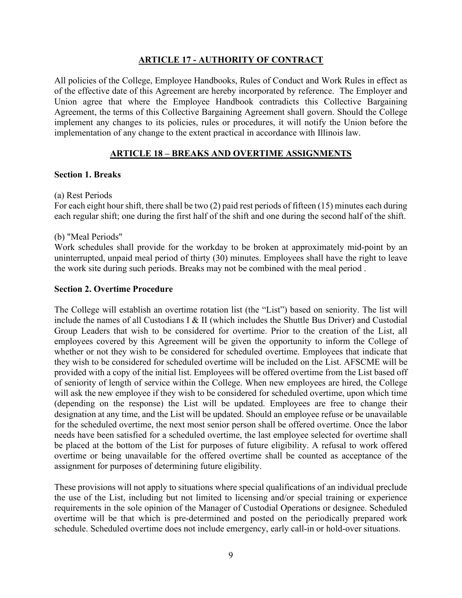## **ARTICLE 17 - AUTHORITY OF CONTRACT**

All policies of the College, Employee Handbooks, Rules of Conduct and Work Rules in effect as of the effective date of this Agreement are hereby incorporated by reference. The Employer and Union agree that where the Employee Handbook contradicts this Collective Bargaining Agreement, the terms of this Collective Bargaining Agreement shall govern. Should the College implement any changes to its policies, rules or procedures, it will notify the Union before the implementation of any change to the extent practical in accordance with Illinois law.

## **ARTICLE 18 – BREAKS AND OVERTIME ASSIGNMENTS**

#### **Section 1. Breaks**

#### (a) Rest Periods

For each eight hour shift, there shall be two (2) paid rest periods of fifteen (15) minutes each during each regular shift; one during the first half of the shift and one during the second half of the shift.

#### (b) "Meal Periods"

Work schedules shall provide for the workday to be broken at approximately mid-point by an uninterrupted, unpaid meal period of thirty (30) minutes. Employees shall have the right to leave the work site during such periods. Breaks may not be combined with the meal period .

#### **Section 2. Overtime Procedure**

The College will establish an overtime rotation list (the "List") based on seniority. The list will include the names of all Custodians I & II (which includes the Shuttle Bus Driver) and Custodial Group Leaders that wish to be considered for overtime. Prior to the creation of the List, all employees covered by this Agreement will be given the opportunity to inform the College of whether or not they wish to be considered for scheduled overtime. Employees that indicate that they wish to be considered for scheduled overtime will be included on the List. AFSCME will be provided with a copy of the initial list. Employees will be offered overtime from the List based off of seniority of length of service within the College. When new employees are hired, the College will ask the new employee if they wish to be considered for scheduled overtime, upon which time (depending on the response) the List will be updated. Employees are free to change their designation at any time, and the List will be updated. Should an employee refuse or be unavailable for the scheduled overtime, the next most senior person shall be offered overtime. Once the labor needs have been satisfied for a scheduled overtime, the last employee selected for overtime shall be placed at the bottom of the List for purposes of future eligibility. A refusal to work offered overtime or being unavailable for the offered overtime shall be counted as acceptance of the assignment for purposes of determining future eligibility.

These provisions will not apply to situations where special qualifications of an individual preclude the use of the List, including but not limited to licensing and/or special training or experience requirements in the sole opinion of the Manager of Custodial Operations or designee. Scheduled overtime will be that which is pre-determined and posted on the periodically prepared work schedule. Scheduled overtime does not include emergency, early call-in or hold-over situations.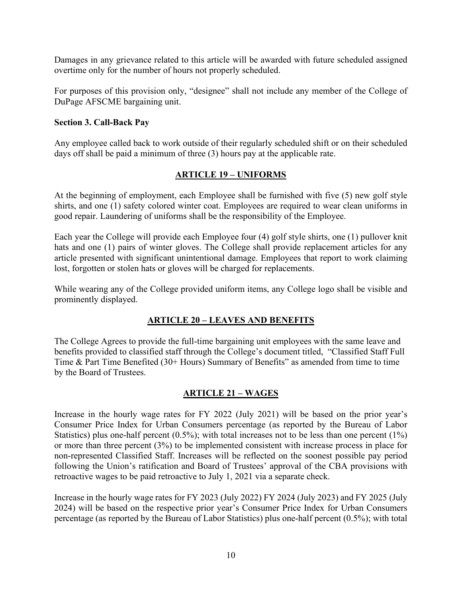Damages in any grievance related to this article will be awarded with future scheduled assigned overtime only for the number of hours not properly scheduled.

For purposes of this provision only, "designee" shall not include any member of the College of DuPage AFSCME bargaining unit.

## **Section 3. Call-Back Pay**

Any employee called back to work outside of their regularly scheduled shift or on their scheduled days off shall be paid a minimum of three (3) hours pay at the applicable rate.

## **ARTICLE 19 – UNIFORMS**

At the beginning of employment, each Employee shall be furnished with five (5) new golf style shirts, and one (1) safety colored winter coat. Employees are required to wear clean uniforms in good repair. Laundering of uniforms shall be the responsibility of the Employee.

Each year the College will provide each Employee four (4) golf style shirts, one (1) pullover knit hats and one (1) pairs of winter gloves. The College shall provide replacement articles for any article presented with significant unintentional damage. Employees that report to work claiming lost, forgotten or stolen hats or gloves will be charged for replacements.

While wearing any of the College provided uniform items, any College logo shall be visible and prominently displayed.

## **ARTICLE 20 – LEAVES AND BENEFITS**

The College Agrees to provide the full-time bargaining unit employees with the same leave and benefits provided to classified staff through the College's document titled, "Classified Staff Full Time & Part Time Benefited (30+ Hours) Summary of Benefits" as amended from time to time by the Board of Trustees.

## **ARTICLE 21 – WAGES**

Increase in the hourly wage rates for FY 2022 (July 2021) will be based on the prior year's Consumer Price Index for Urban Consumers percentage (as reported by the Bureau of Labor Statistics) plus one-half percent  $(0.5\%)$ ; with total increases not to be less than one percent  $(1\%)$ or more than three percent (3%) to be implemented consistent with increase process in place for non-represented Classified Staff. Increases will be reflected on the soonest possible pay period following the Union's ratification and Board of Trustees' approval of the CBA provisions with retroactive wages to be paid retroactive to July 1, 2021 via a separate check.

Increase in the hourly wage rates for FY 2023 (July 2022) FY 2024 (July 2023) and FY 2025 (July 2024) will be based on the respective prior year's Consumer Price Index for Urban Consumers percentage (as reported by the Bureau of Labor Statistics) plus one-half percent (0.5%); with total